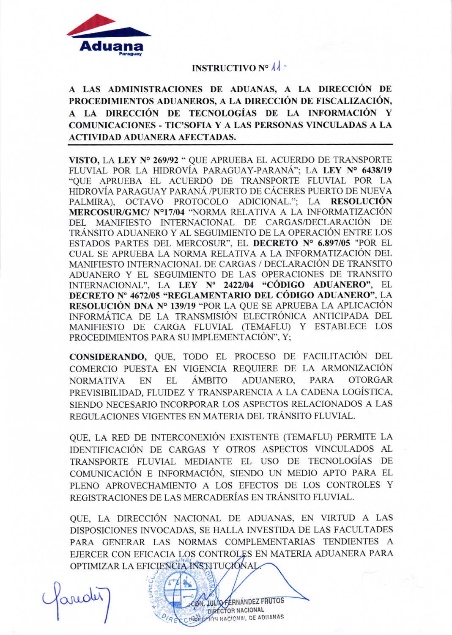

## **INSTRUCTIVO Nº**  $\lambda$ **.**

## A LAS ADMINISTRACIONES DE ADUANAS, A LA DIRECCIÓN DE PROCEDIMIENTOS ADUANEROS, A LA DIRECCIÓN DE FISCALIZACIÓN, A LA DIRECCIÓN DE TECNOLOGÍAS DE LA INFORMACIÓN Y **COMUNICACIONES - TIC'SOFIA Y A LAS PERSONAS VINCULADAS A LA ACTIVIDAD ADUANERA AFECTADAS.**

VISTO, LA LEY Nº 269/92 " QUE APRUEBA EL ACUERDO DE TRANSPORTE FLUVIAL POR LA HIDROVÍA PARAGUAY-PARANÁ"; LA LEY Nº 6438/19 "QUE APRUEBA EL ACUERDO DE TRANSPORTE FLUVIAL POR LA HIDROVÍA PARAGUAY PARANÁ /PUERTO DE CÁCERES PUERTO DE NUEVA PALMIRA), OCTAVO PROTOCOLO ADICIONAL."; LA RESOLUCIÓN MERCOSUR/GMC/ Nº17/04 "NORMA RELATIVA A LA INFORMATIZACIÓN DEL MANIFIESTO INTERNACIONAL DE CARGAS/DECLARACIÓN DE TRÁNSITO ADUANERO Y AL SEGUIMIENTO DE LA OPERACIÓN ENTRE LOS ESTADOS PARTES DEL MERCOSUR", EL DECRETO Nº 6.897/05 "POR EL CUAL SE APRUEBA LA NORMA RELATIVA A LA INFORMATIZACIÓN DEL MANIFIESTO INTERNACIONAL DE CARGAS / DECLARACIÓN DE TRANSITO ADUANERO Y EL SEGUIMIENTO DE LAS OPERACIONES DE TRANSITO INTERNACIONAL", LA LEY Nº 2422/04 "CÓDIGO ADUANERO", EL DECRETO Nº 4672/05 "REGLAMENTARIO DEL CÓDIGO ADUANERO", LA RESOLUCIÓN DNA Nº 139/19 "POR LA QUE SE APRUEBA LA APLICACIÓN INFORMÁTICA DE LA TRANSMISIÓN ELECTRÓNICA ANTICIPADA DEL MANIFIESTO DE CARGA FLUVIAL (TEMAFLU) Y ESTABLECE LOS PROCEDIMIENTOS PARA SU IMPLEMENTACIÓN", Y;

CONSIDERANDO, QUE, TODO EL PROCESO DE FACILITACIÓN DEL COMERCIO PUESTA EN VIGENCIA REQUIERE DE LA ARMONIZACIÓN **ÁMBITO** ADUANERO, PARA **OTORGAR NORMATIVA** EN EL PREVISIBILIDAD, FLUIDEZ Y TRANSPARENCIA A LA CADENA LOGÍSTICA, SIENDO NECESARIO INCORPORAR LOS ASPECTOS RELACIONADOS A LAS REGULACIONES VIGENTES EN MATERIA DEL TRÁNSITO FLUVIAL.

OUE, LA RED DE INTERCONEXIÓN EXISTENTE (TEMAFLU) PERMITE LA IDENTIFICACIÓN DE CARGAS Y OTROS ASPECTOS VINCULADOS AL TRANSPORTE FLUVIAL MEDIANTE EL USO DE TECNOLOGÍAS DE COMUNICACIÓN E INFORMACIÓN, SIENDO UN MEDIO APTO PARA EL PLENO APROVECHAMIENTO A LOS EFECTOS DE LOS CONTROLES Y REGISTRACIONES DE LAS MERCADERÍAS EN TRÁNSITO FLUVIAL.

OUE, LA DIRECCIÓN NACIONAL DE ADUANAS, EN VIRTUD A LAS DISPOSICIONES INVOCADAS, SE HALLA INVESTIDA DE LAS FACULTADES PARA GENERAR LAS NORMAS COMPLEMENTARIAS TENDIENTES A EJERCER CON EFICACIA LOS CONTROLES EN MATERIA ADUANERA PARA OPTIMIZAR LA EFICIENCIA INSTITUCIÓNAL

JULIO FERNANDEZ FRUTOS DIRECTOR NACIONAL ON NACIONAL DE ADIIANAS